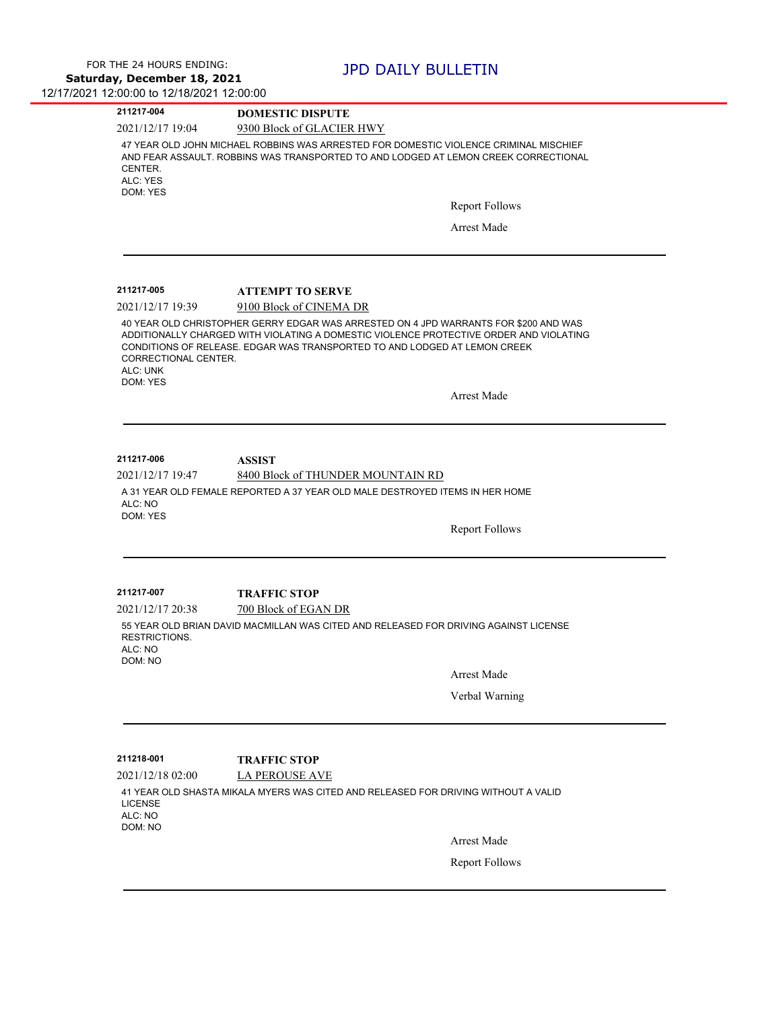| 211217-004                                               | <b>DOMESTIC DISPUTE</b>                                                                                                                                                                                                                                     |
|----------------------------------------------------------|-------------------------------------------------------------------------------------------------------------------------------------------------------------------------------------------------------------------------------------------------------------|
| 2021/12/17 19:04                                         | 9300 Block of GLACIER HWY                                                                                                                                                                                                                                   |
| CENTER.<br>ALC: YES                                      | 47 YEAR OLD JOHN MICHAEL ROBBINS WAS ARRESTED FOR DOMESTIC VIOLENCE CRIMINAL MISCHIEF<br>AND FEAR ASSAULT. ROBBINS WAS TRANSPORTED TO AND LODGED AT LEMON CREEK CORRECTIONAL                                                                                |
| DOM: YES                                                 |                                                                                                                                                                                                                                                             |
|                                                          | <b>Report Follows</b>                                                                                                                                                                                                                                       |
|                                                          | <b>Arrest Made</b>                                                                                                                                                                                                                                          |
|                                                          |                                                                                                                                                                                                                                                             |
| 211217-005<br>2021/12/17 19:39                           | <b>ATTEMPT TO SERVE</b><br>9100 Block of CINEMA DR                                                                                                                                                                                                          |
| CORRECTIONAL CENTER.<br>ALC: UNK<br>DOM: YES             | 40 YEAR OLD CHRISTOPHER GERRY EDGAR WAS ARRESTED ON 4 JPD WARRANTS FOR \$200 AND WAS<br>ADDITIONALLY CHARGED WITH VIOLATING A DOMESTIC VIOLENCE PROTECTIVE ORDER AND VIOLATING<br>CONDITIONS OF RELEASE. EDGAR WAS TRANSPORTED TO AND LODGED AT LEMON CREEK |
|                                                          | <b>Arrest Made</b>                                                                                                                                                                                                                                          |
|                                                          | <b>ASSIST</b><br>8400 Block of THUNDER MOUNTAIN RD<br>A 31 YEAR OLD FEMALE REPORTED A 37 YEAR OLD MALE DESTROYED ITEMS IN HER HOME                                                                                                                          |
| 211217-006<br>2021/12/17 19:47<br>ALC: NO<br>DOM: YES    | <b>Report Follows</b>                                                                                                                                                                                                                                       |
| 211217-007                                               | <b>TRAFFIC STOP</b>                                                                                                                                                                                                                                         |
| 2021/12/17 20:38<br><b>RESTRICTIONS.</b><br>ALC: NO      | 700 Block of EGAN DR<br>55 YEAR OLD BRIAN DAVID MACMILLAN WAS CITED AND RELEASED FOR DRIVING AGAINST LICENSE                                                                                                                                                |
| DOM: NO                                                  | Arrest Made                                                                                                                                                                                                                                                 |
|                                                          | Verbal Warning                                                                                                                                                                                                                                              |
|                                                          |                                                                                                                                                                                                                                                             |
| 211218-001                                               | <b>TRAFFIC STOP</b>                                                                                                                                                                                                                                         |
| 2021/12/18 02:00<br><b>LICENSE</b><br>ALC: NO<br>DOM: NO | <b>LA PEROUSE AVE</b><br>41 YEAR OLD SHASTA MIKALA MYERS WAS CITED AND RELEASED FOR DRIVING WITHOUT A VALID                                                                                                                                                 |
|                                                          | <b>Arrest Made</b>                                                                                                                                                                                                                                          |